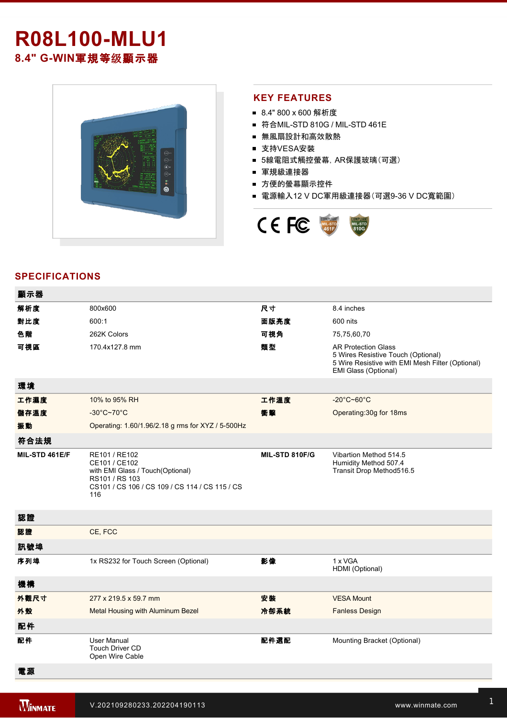# **R08L100-MLU1 8.4" G-WIN軍規等级顯示器**



#### **KEY FEATURES**

- 8.4" 800 x 600 解析度
- 符合MIL-STD 810G / MIL-STD 461E
- 無風扇設計和高效散熱
- 支持VESA安裝
- 5線電阻式觸控螢幕,AR保護玻璃(可選)
- 軍規級連接器
- 方便的螢幕顯示控件
- 電源輸入12 V DC軍用級連接器(可選9-36 V DC寬範圍)



### **SPECIFICATIONS**

| 顯示器            |                                                                                                                                               |                |                                                                                                                                              |
|----------------|-----------------------------------------------------------------------------------------------------------------------------------------------|----------------|----------------------------------------------------------------------------------------------------------------------------------------------|
| 解析度            | 800x600                                                                                                                                       | 尺寸             | 8.4 inches                                                                                                                                   |
| 對比度            | 600:1                                                                                                                                         | 面版亮度           | 600 nits                                                                                                                                     |
| 色階             | 262K Colors                                                                                                                                   | 可視角            | 75,75,60,70                                                                                                                                  |
| 可視區            | 170.4x127.8 mm                                                                                                                                | 類型             | <b>AR Protection Glass</b><br>5 Wires Resistive Touch (Optional)<br>5 Wire Resistive with EMI Mesh Filter (Optional)<br>EMI Glass (Optional) |
| 環境             |                                                                                                                                               |                |                                                                                                                                              |
| 工作濕度           | 10% to 95% RH                                                                                                                                 | 工作溫度           | $-20^{\circ}$ C~60 $^{\circ}$ C                                                                                                              |
| 儲存溫度           | $-30^{\circ}$ C~70 $^{\circ}$ C                                                                                                               | 衝擊             | Operating: 30g for 18ms                                                                                                                      |
| 振動             | Operating: 1.60/1.96/2.18 g rms for XYZ / 5-500Hz                                                                                             |                |                                                                                                                                              |
| 符合法規           |                                                                                                                                               |                |                                                                                                                                              |
| MIL-STD 461E/F | RE101 / RE102<br>CE101 / CE102<br>with EMI Glass / Touch(Optional)<br>RS101 / RS 103<br>CS101 / CS 106 / CS 109 / CS 114 / CS 115 / CS<br>116 | MIL-STD 810F/G | Vibartion Method 514.5<br>Humidity Method 507.4<br>Transit Drop Method516.5                                                                  |
| 認證             |                                                                                                                                               |                |                                                                                                                                              |
| 認證             | CE, FCC                                                                                                                                       |                |                                                                                                                                              |
| 訊號埠            |                                                                                                                                               |                |                                                                                                                                              |
| 序列埠            | 1x RS232 for Touch Screen (Optional)                                                                                                          | 影像             | 1 x VGA<br>HDMI (Optional)                                                                                                                   |
| 機構             |                                                                                                                                               |                |                                                                                                                                              |
| 外觀尺寸           | 277 x 219.5 x 59.7 mm                                                                                                                         | 安装             | <b>VESA Mount</b>                                                                                                                            |
| 外殼             | Metal Housing with Aluminum Bezel                                                                                                             | 冷卻系統           | <b>Fanless Design</b>                                                                                                                        |
| 配件             |                                                                                                                                               |                |                                                                                                                                              |
| 配件             | <b>User Manual</b><br><b>Touch Driver CD</b><br>Open Wire Cable                                                                               | 配件選配           | Mounting Bracket (Optional)                                                                                                                  |
| 電源             |                                                                                                                                               |                |                                                                                                                                              |

9V to 36V wide range (Optional)